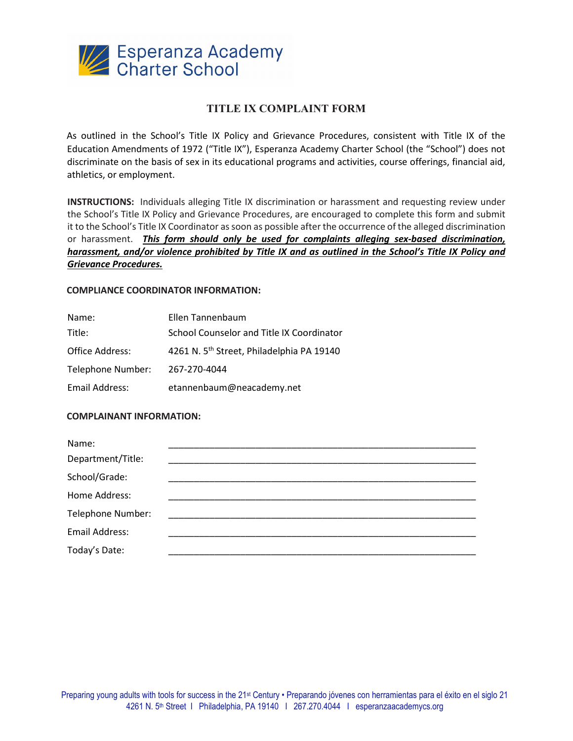

# **TITLE IX COMPLAINT FORM**

As outlined in the School's Title IX Policy and Grievance Procedures, consistent with Title IX of the Education Amendments of 1972 ("Title IX"), Esperanza Academy Charter School (the "School") does not discriminate on the basis of sex in its educational programs and activities, course offerings, financial aid, athletics, or employment.

**INSTRUCTIONS:** Individuals alleging Title IX discrimination or harassment and requesting review under the School's Title IX Policy and Grievance Procedures, are encouraged to complete this form and submit it to the School's Title IX Coordinator as soon as possible after the occurrence of the alleged discrimination or harassment. *This form should only be used for complaints alleging sex-based discrimination, harassment, and/or violence prohibited by Title IX and as outlined in the School's Title IX Policy and Grievance Procedures.*

### **COMPLIANCE COORDINATOR INFORMATION:**

| Name:             | Ellen Tannenbaum                                      |
|-------------------|-------------------------------------------------------|
| Title:            | School Counselor and Title IX Coordinator             |
| Office Address:   | 4261 N. 5 <sup>th</sup> Street, Philadelphia PA 19140 |
| Telephone Number: | 267-270-4044                                          |
| Email Address:    | etannenbaum@neacademy.net                             |

## **COMPLAINANT INFORMATION:**

| Name:             |  |
|-------------------|--|
| Department/Title: |  |
| School/Grade:     |  |
| Home Address:     |  |
| Telephone Number: |  |
| Email Address:    |  |
| Today's Date:     |  |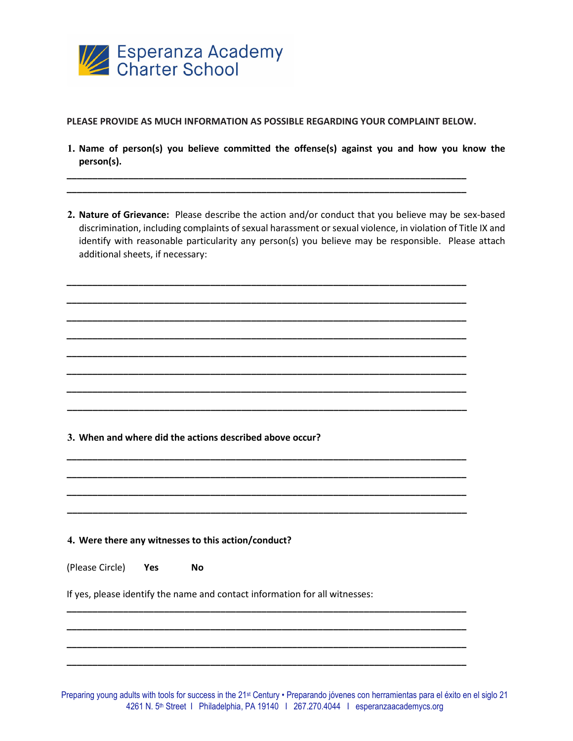

**PLEASE PROVIDE AS MUCH INFORMATION AS POSSIBLE REGARDING YOUR COMPLAINT BELOW.** 

**\_\_\_\_\_\_\_\_\_\_\_\_\_\_\_\_\_\_\_\_\_\_\_\_\_\_\_\_\_\_\_\_\_\_\_\_\_\_\_\_\_\_\_\_\_\_\_\_\_\_\_\_\_\_\_\_\_\_\_\_\_\_\_\_\_\_\_\_\_\_\_\_\_\_\_\_\_\_ \_\_\_\_\_\_\_\_\_\_\_\_\_\_\_\_\_\_\_\_\_\_\_\_\_\_\_\_\_\_\_\_\_\_\_\_\_\_\_\_\_\_\_\_\_\_\_\_\_\_\_\_\_\_\_\_\_\_\_\_\_\_\_\_\_\_\_\_\_\_\_\_\_\_\_\_\_\_** 

**\_\_\_\_\_\_\_\_\_\_\_\_\_\_\_\_\_\_\_\_\_\_\_\_\_\_\_\_\_\_\_\_\_\_\_\_\_\_\_\_\_\_\_\_\_\_\_\_\_\_\_\_\_\_\_\_\_\_\_\_\_\_\_\_\_\_\_\_\_\_\_\_\_\_\_\_\_\_ \_\_\_\_\_\_\_\_\_\_\_\_\_\_\_\_\_\_\_\_\_\_\_\_\_\_\_\_\_\_\_\_\_\_\_\_\_\_\_\_\_\_\_\_\_\_\_\_\_\_\_\_\_\_\_\_\_\_\_\_\_\_\_\_\_\_\_\_\_\_\_\_\_\_\_\_\_\_ \_\_\_\_\_\_\_\_\_\_\_\_\_\_\_\_\_\_\_\_\_\_\_\_\_\_\_\_\_\_\_\_\_\_\_\_\_\_\_\_\_\_\_\_\_\_\_\_\_\_\_\_\_\_\_\_\_\_\_\_\_\_\_\_\_\_\_\_\_\_\_\_\_\_\_\_\_\_ \_\_\_\_\_\_\_\_\_\_\_\_\_\_\_\_\_\_\_\_\_\_\_\_\_\_\_\_\_\_\_\_\_\_\_\_\_\_\_\_\_\_\_\_\_\_\_\_\_\_\_\_\_\_\_\_\_\_\_\_\_\_\_\_\_\_\_\_\_\_\_\_\_\_\_\_\_\_ \_\_\_\_\_\_\_\_\_\_\_\_\_\_\_\_\_\_\_\_\_\_\_\_\_\_\_\_\_\_\_\_\_\_\_\_\_\_\_\_\_\_\_\_\_\_\_\_\_\_\_\_\_\_\_\_\_\_\_\_\_\_\_\_\_\_\_\_\_\_\_\_\_\_\_\_\_\_ \_\_\_\_\_\_\_\_\_\_\_\_\_\_\_\_\_\_\_\_\_\_\_\_\_\_\_\_\_\_\_\_\_\_\_\_\_\_\_\_\_\_\_\_\_\_\_\_\_\_\_\_\_\_\_\_\_\_\_\_\_\_\_\_\_\_\_\_\_\_\_\_\_\_\_\_\_\_ \_\_\_\_\_\_\_\_\_\_\_\_\_\_\_\_\_\_\_\_\_\_\_\_\_\_\_\_\_\_\_\_\_\_\_\_\_\_\_\_\_\_\_\_\_\_\_\_\_\_\_\_\_\_\_\_\_\_\_\_\_\_\_\_\_\_\_\_\_\_\_\_\_\_\_\_\_\_ \_\_\_\_\_\_\_\_\_\_\_\_\_\_\_\_\_\_\_\_\_\_\_\_\_\_\_\_\_\_\_\_\_\_\_\_\_\_\_\_\_\_\_\_\_\_\_\_\_\_\_\_\_\_\_\_\_\_\_\_\_\_\_\_\_\_\_\_\_\_\_\_\_\_\_\_\_\_**

**\_\_\_\_\_\_\_\_\_\_\_\_\_\_\_\_\_\_\_\_\_\_\_\_\_\_\_\_\_\_\_\_\_\_\_\_\_\_\_\_\_\_\_\_\_\_\_\_\_\_\_\_\_\_\_\_\_\_\_\_\_\_\_\_\_\_\_\_\_\_\_\_\_\_\_\_\_\_ \_\_\_\_\_\_\_\_\_\_\_\_\_\_\_\_\_\_\_\_\_\_\_\_\_\_\_\_\_\_\_\_\_\_\_\_\_\_\_\_\_\_\_\_\_\_\_\_\_\_\_\_\_\_\_\_\_\_\_\_\_\_\_\_\_\_\_\_\_\_\_\_\_\_\_\_\_\_ \_\_\_\_\_\_\_\_\_\_\_\_\_\_\_\_\_\_\_\_\_\_\_\_\_\_\_\_\_\_\_\_\_\_\_\_\_\_\_\_\_\_\_\_\_\_\_\_\_\_\_\_\_\_\_\_\_\_\_\_\_\_\_\_\_\_\_\_\_\_\_\_\_\_\_\_\_\_ \_\_\_\_\_\_\_\_\_\_\_\_\_\_\_\_\_\_\_\_\_\_\_\_\_\_\_\_\_\_\_\_\_\_\_\_\_\_\_\_\_\_\_\_\_\_\_\_\_\_\_\_\_\_\_\_\_\_\_\_\_\_\_\_\_\_\_\_\_\_\_\_\_\_\_\_\_\_** 

**\_\_\_\_\_\_\_\_\_\_\_\_\_\_\_\_\_\_\_\_\_\_\_\_\_\_\_\_\_\_\_\_\_\_\_\_\_\_\_\_\_\_\_\_\_\_\_\_\_\_\_\_\_\_\_\_\_\_\_\_\_\_\_\_\_\_\_\_\_\_\_\_\_\_\_\_\_\_ \_\_\_\_\_\_\_\_\_\_\_\_\_\_\_\_\_\_\_\_\_\_\_\_\_\_\_\_\_\_\_\_\_\_\_\_\_\_\_\_\_\_\_\_\_\_\_\_\_\_\_\_\_\_\_\_\_\_\_\_\_\_\_\_\_\_\_\_\_\_\_\_\_\_\_\_\_\_ \_\_\_\_\_\_\_\_\_\_\_\_\_\_\_\_\_\_\_\_\_\_\_\_\_\_\_\_\_\_\_\_\_\_\_\_\_\_\_\_\_\_\_\_\_\_\_\_\_\_\_\_\_\_\_\_\_\_\_\_\_\_\_\_\_\_\_\_\_\_\_\_\_\_\_\_\_\_ \_\_\_\_\_\_\_\_\_\_\_\_\_\_\_\_\_\_\_\_\_\_\_\_\_\_\_\_\_\_\_\_\_\_\_\_\_\_\_\_\_\_\_\_\_\_\_\_\_\_\_\_\_\_\_\_\_\_\_\_\_\_\_\_\_\_\_\_\_\_\_\_\_\_\_\_\_\_** 

- **1. Name of person(s) you believe committed the offense(s) against you and how you know the person(s).**
- **2. Nature of Grievance:** Please describe the action and/or conduct that you believe may be sex-based discrimination, including complaints of sexual harassment or sexual violence, in violation of Title IX and identify with reasonable particularity any person(s) you believe may be responsible. Please attach additional sheets, if necessary:

**3. When and where did the actions described above occur?**

**4. Were there any witnesses to this action/conduct?** 

(Please Circle) **Yes No**

If yes, please identify the name and contact information for all witnesses:

Preparing young adults with tools for success in the 21<sup>st</sup> Century • Preparando jóvenes con herramientas para el éxito en el siglo 21 4261 N. 5<sup>th</sup> Street I Philadelphia, PA 19140 | 267.270.4044 | esperanzaacademycs.org